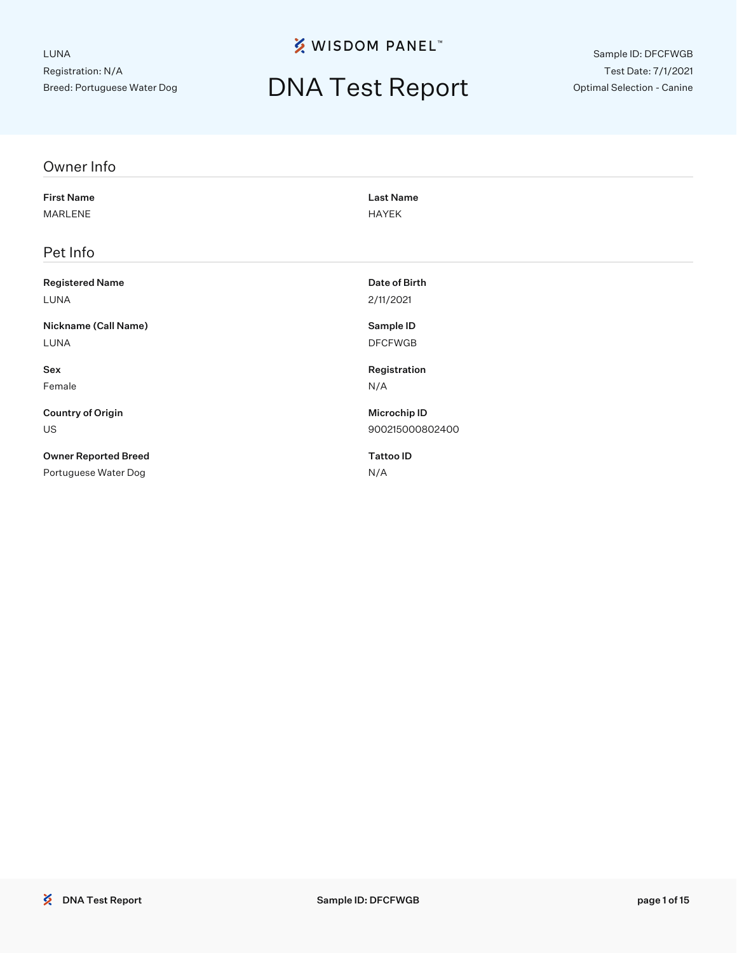**※ WISDOM PANEL**™

# DNA Test Report

Sample ID: DFCFWGB Test Date: 7/1/2021 Optimal Selection - Canine

| Owner Info                  |                  |  |
|-----------------------------|------------------|--|
| <b>First Name</b>           | <b>Last Name</b> |  |
| <b>MARLENE</b>              | <b>HAYEK</b>     |  |
| Pet Info                    |                  |  |
| <b>Registered Name</b>      | Date of Birth    |  |
| LUNA                        | 2/11/2021        |  |
| Nickname (Call Name)        | Sample ID        |  |
| LUNA                        | <b>DFCFWGB</b>   |  |
| Sex                         | Registration     |  |
| Female                      | N/A              |  |
| <b>Country of Origin</b>    | Microchip ID     |  |
| US                          | 900215000802400  |  |
| <b>Owner Reported Breed</b> | <b>Tattoo ID</b> |  |
| Portuguese Water Dog        | N/A              |  |
|                             |                  |  |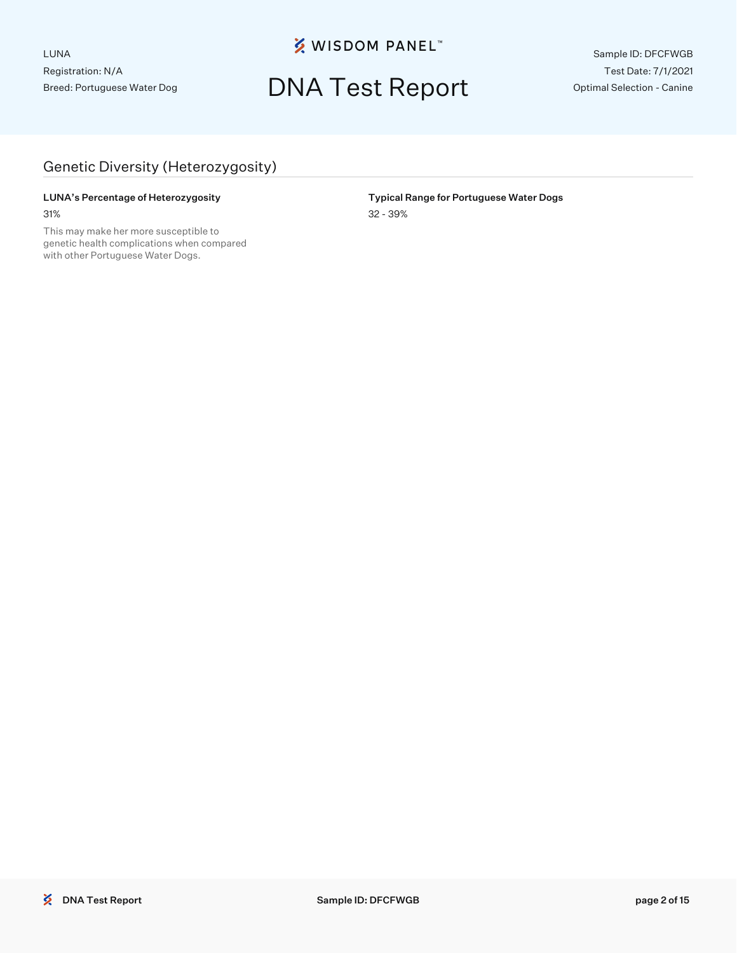**※ WISDOM PANEL**™

### DNA Test Report

Sample ID: DFCFWGB Test Date: 7/1/2021 Optimal Selection - Canine

### Genetic Diversity (Heterozygosity)

#### LUNA's Percentage of Heterozygosity **Typical Range for Portuguese Water Dogs** 31% 32 - 39%

This may make her more susceptible to genetic health complications when compared with other Portuguese Water Dogs.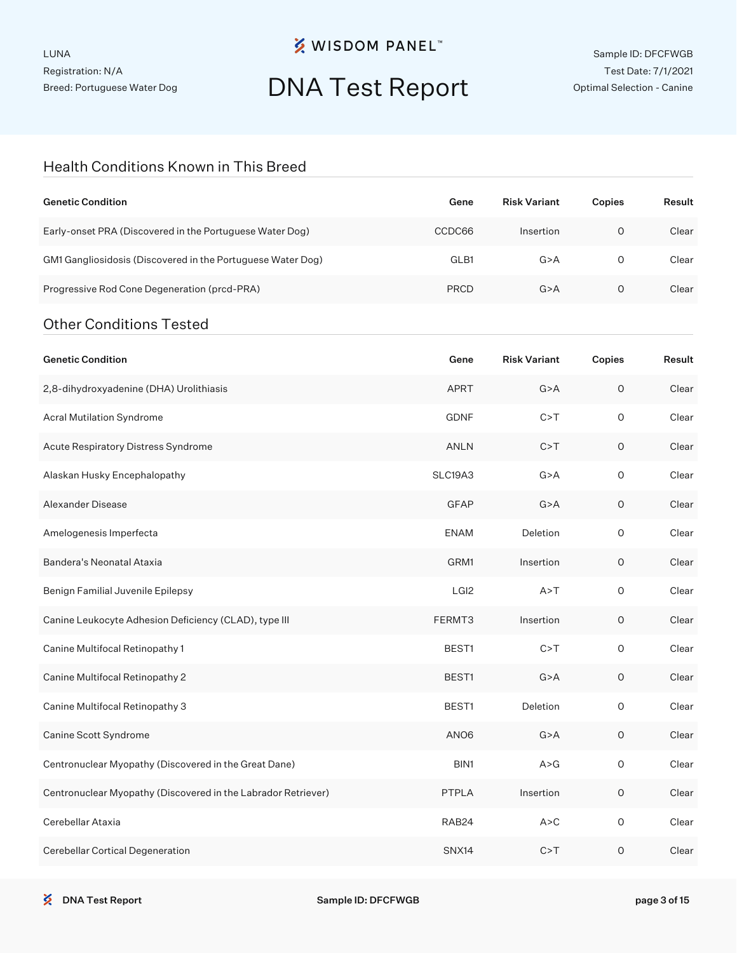**※ WISDOM PANEL**™

# DNA Test Report

#### Health Conditions Known in This Breed

| <b>Genetic Condition</b>                                      | Gene             | <b>Risk Variant</b> | Copies      | Result |
|---------------------------------------------------------------|------------------|---------------------|-------------|--------|
| Early-onset PRA (Discovered in the Portuguese Water Dog)      | CCDC66           | Insertion           | $\circ$     | Clear  |
| GM1 Gangliosidosis (Discovered in the Portuguese Water Dog)   | GLB1             | G > A               | 0           | Clear  |
| Progressive Rod Cone Degeneration (prcd-PRA)                  | <b>PRCD</b>      | G > A               | 0           | Clear  |
| <b>Other Conditions Tested</b>                                |                  |                     |             |        |
| <b>Genetic Condition</b>                                      | Gene             | <b>Risk Variant</b> | Copies      | Result |
| 2,8-dihydroxyadenine (DHA) Urolithiasis                       | <b>APRT</b>      | G > A               | $\circ$     | Clear  |
| Acral Mutilation Syndrome                                     | <b>GDNF</b>      | C > T               | $\circ$     | Clear  |
| Acute Respiratory Distress Syndrome                           | ANLN             | C > T               | $\circ$     | Clear  |
| Alaskan Husky Encephalopathy                                  | SLC19A3          | G > A               | $\circ$     | Clear  |
| Alexander Disease                                             | <b>GFAP</b>      | G > A               | $\circ$     | Clear  |
| Amelogenesis Imperfecta                                       | <b>ENAM</b>      | Deletion            | 0           | Clear  |
| Bandera's Neonatal Ataxia                                     | GRM1             | Insertion           | $\circ$     | Clear  |
| Benign Familial Juvenile Epilepsy                             | LGI <sub>2</sub> | A > T               | 0           | Clear  |
| Canine Leukocyte Adhesion Deficiency (CLAD), type III         | FERMT3           | Insertion           | $\circ$     | Clear  |
| Canine Multifocal Retinopathy 1                               | BEST1            | C > T               | 0           | Clear  |
| Canine Multifocal Retinopathy 2                               | BEST1            | G > A               | $\circ$     | Clear  |
| Canine Multifocal Retinopathy 3                               | BEST1            | Deletion            | 0           | Clear  |
| Canine Scott Syndrome                                         | ANO <sub>6</sub> | G > A               | $\circ$     | Clear  |
| Centronuclear Myopathy (Discovered in the Great Dane)         | BIN1             | A > G               | $\mathsf O$ | Clear  |
| Centronuclear Myopathy (Discovered in the Labrador Retriever) | PTPLA            | Insertion           | $\mathsf O$ | Clear  |
| Cerebellar Ataxia                                             | RAB24            | A > C               | $\mathsf O$ | Clear  |
| Cerebellar Cortical Degeneration                              | SNX14            | C > T               | $\mathsf O$ | Clear  |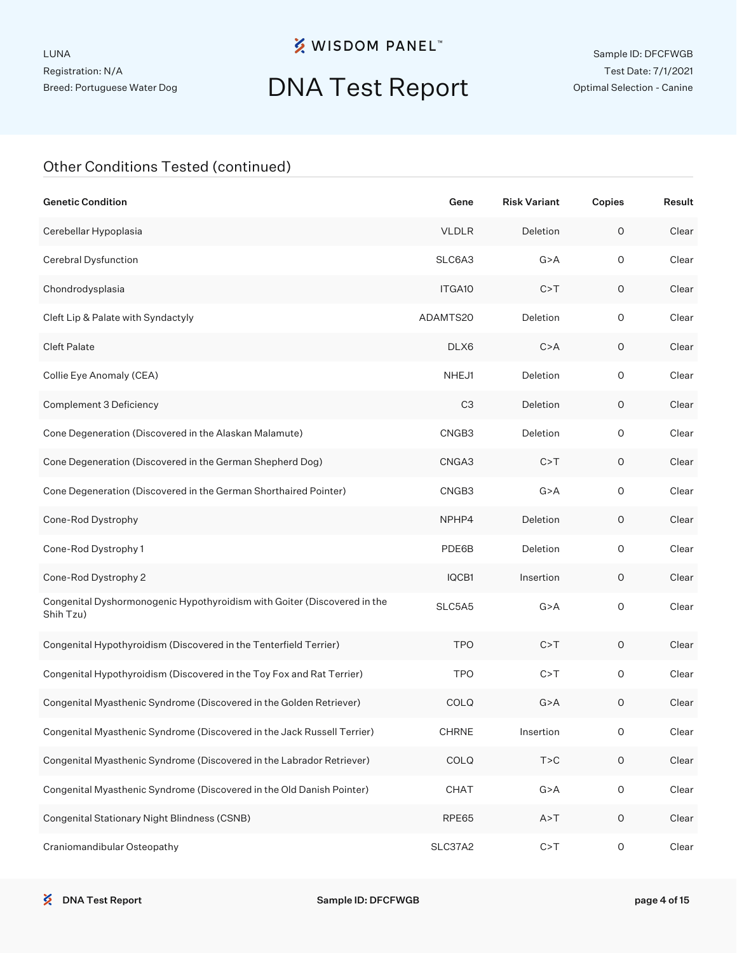### **※ WISDOM PANEL**™

## DNA Test Report

| <b>Genetic Condition</b>                                                              | Gene               | <b>Risk Variant</b> | Copies              | Result |
|---------------------------------------------------------------------------------------|--------------------|---------------------|---------------------|--------|
| Cerebellar Hypoplasia                                                                 | <b>VLDLR</b>       | Deletion            | $\mathsf O$         | Clear  |
| Cerebral Dysfunction                                                                  | SLC6A3             | G > A               | $\mathsf O$         | Clear  |
| Chondrodysplasia                                                                      | ITGA <sub>10</sub> | C > T               | $\mathsf O$         | Clear  |
| Cleft Lip & Palate with Syndactyly                                                    | ADAMTS20           | Deletion            | $\circ$             | Clear  |
| <b>Cleft Palate</b>                                                                   | DLX6               | C > A               | $\circ$             | Clear  |
| Collie Eye Anomaly (CEA)                                                              | NHEJ1              | Deletion            | $\circ$             | Clear  |
| Complement 3 Deficiency                                                               | C <sub>3</sub>     | Deletion            | $\circ$             | Clear  |
| Cone Degeneration (Discovered in the Alaskan Malamute)                                | CNGB3              | Deletion            | $\circ$             | Clear  |
| Cone Degeneration (Discovered in the German Shepherd Dog)                             | CNGA3              | C > T               | $\mathsf O$         | Clear  |
| Cone Degeneration (Discovered in the German Shorthaired Pointer)                      | CNGB3              | G > A               | $\mathsf O$         | Clear  |
| Cone-Rod Dystrophy                                                                    | NPHP4              | Deletion            | $\circ$             | Clear  |
| Cone-Rod Dystrophy 1                                                                  | PDE6B              | Deletion            | $\circ$             | Clear  |
| Cone-Rod Dystrophy 2                                                                  | IQCB1              | Insertion           | $\circ$             | Clear  |
| Congenital Dyshormonogenic Hypothyroidism with Goiter (Discovered in the<br>Shih Tzu) | SLC5A5             | G > A               | $\mathsf{O}\xspace$ | Clear  |
| Congenital Hypothyroidism (Discovered in the Tenterfield Terrier)                     | <b>TPO</b>         | C > T               | 0                   | Clear  |
| Congenital Hypothyroidism (Discovered in the Toy Fox and Rat Terrier)                 | <b>TPO</b>         | C > T               | 0                   | Clear  |
| Congenital Myasthenic Syndrome (Discovered in the Golden Retriever)                   | <b>COLQ</b>        | G > A               | 0                   | Clear  |
| Congenital Myasthenic Syndrome (Discovered in the Jack Russell Terrier)               | <b>CHRNE</b>       | Insertion           | O                   | Clear  |
| Congenital Myasthenic Syndrome (Discovered in the Labrador Retriever)                 | COLQ               | T > C               | $\mathsf O$         | Clear  |
| Congenital Myasthenic Syndrome (Discovered in the Old Danish Pointer)                 | CHAT               | G > A               | $\mathsf{O}\xspace$ | Clear  |
| Congenital Stationary Night Blindness (CSNB)                                          | RPE65              | A > T               | $\circ$             | Clear  |
| Craniomandibular Osteopathy                                                           | SLC37A2            | C > T               | O                   | Clear  |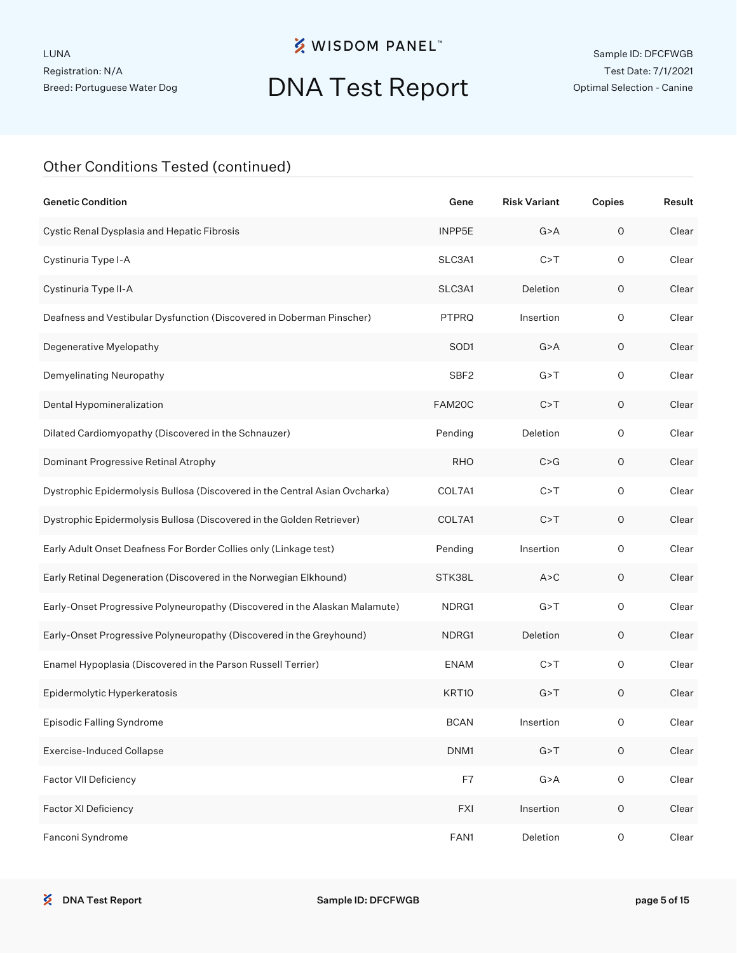### **※ WISDOM PANEL**™

## DNA Test Report

| <b>Genetic Condition</b>                                                    | Gene             | <b>Risk Variant</b> | Copies              | Result |
|-----------------------------------------------------------------------------|------------------|---------------------|---------------------|--------|
| Cystic Renal Dysplasia and Hepatic Fibrosis                                 | INPP5E           | G > A               | $\mathsf O$         | Clear  |
| Cystinuria Type I-A                                                         | SLC3A1           | C > T               | $\circ$             | Clear  |
| Cystinuria Type II-A                                                        | SLC3A1           | Deletion            | $\circ$             | Clear  |
| Deafness and Vestibular Dysfunction (Discovered in Doberman Pinscher)       | PTPRQ            | Insertion           | $\circ$             | Clear  |
| Degenerative Myelopathy                                                     | SOD1             | G > A               | $\circ$             | Clear  |
| Demyelinating Neuropathy                                                    | SBF <sub>2</sub> | G > T               | $\circ$             | Clear  |
| Dental Hypomineralization                                                   | FAM20C           | C > T               | $\circ$             | Clear  |
| Dilated Cardiomyopathy (Discovered in the Schnauzer)                        | Pending          | Deletion            | $\circ$             | Clear  |
| Dominant Progressive Retinal Atrophy                                        | <b>RHO</b>       | C > G               | $\circ$             | Clear  |
| Dystrophic Epidermolysis Bullosa (Discovered in the Central Asian Ovcharka) | COL7A1           | C > T               | $\circ$             | Clear  |
| Dystrophic Epidermolysis Bullosa (Discovered in the Golden Retriever)       | COL7A1           | C > T               | $\circ$             | Clear  |
| Early Adult Onset Deafness For Border Collies only (Linkage test)           | Pending          | Insertion           | $\circ$             | Clear  |
| Early Retinal Degeneration (Discovered in the Norwegian Elkhound)           | STK38L           | A > C               | O                   | Clear  |
| Early-Onset Progressive Polyneuropathy (Discovered in the Alaskan Malamute) | NDRG1            | G > T               | $\circ$             | Clear  |
| Early-Onset Progressive Polyneuropathy (Discovered in the Greyhound)        | NDRG1            | Deletion            | O                   | Clear  |
| Enamel Hypoplasia (Discovered in the Parson Russell Terrier)                | <b>ENAM</b>      | C > T               | $\circ$             | Clear  |
| Epidermolytic Hyperkeratosis                                                | KRT10            | G > T               | O                   | Clear  |
| Episodic Falling Syndrome                                                   | <b>BCAN</b>      | Insertion           | 0                   | Clear  |
| <b>Exercise-Induced Collapse</b>                                            | DNM1             | G > T               | $\mathsf O$         | Clear  |
| Factor VII Deficiency                                                       | F7               | G > A               | $\mathsf{O}\xspace$ | Clear  |
| Factor XI Deficiency                                                        | <b>FXI</b>       | Insertion           | $\mathsf O$         | Clear  |
| Fanconi Syndrome                                                            | FAN1             | Deletion            | O                   | Clear  |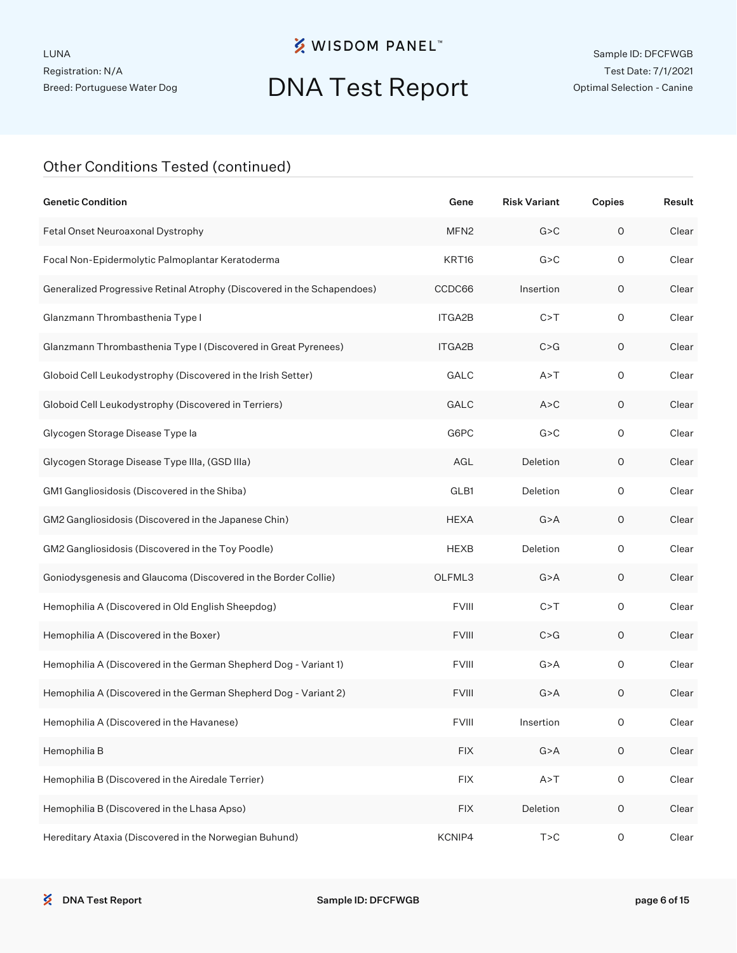### **※ WISDOM PANEL**™

## DNA Test Report

| <b>Genetic Condition</b>                                                | Gene             | <b>Risk Variant</b> | Copies              | Result |
|-------------------------------------------------------------------------|------------------|---------------------|---------------------|--------|
| Fetal Onset Neuroaxonal Dystrophy                                       | MFN <sub>2</sub> | G > C               | $\circ$             | Clear  |
| Focal Non-Epidermolytic Palmoplantar Keratoderma                        | KRT16            | G > C               | 0                   | Clear  |
| Generalized Progressive Retinal Atrophy (Discovered in the Schapendoes) | CCDC66           | Insertion           | O                   | Clear  |
| Glanzmann Thrombasthenia Type I                                         | ITGA2B           | C > T               | 0                   | Clear  |
| Glanzmann Thrombasthenia Type I (Discovered in Great Pyrenees)          | ITGA2B           | C > G               | O                   | Clear  |
| Globoid Cell Leukodystrophy (Discovered in the Irish Setter)            | GALC             | A > T               | $\circ$             | Clear  |
| Globoid Cell Leukodystrophy (Discovered in Terriers)                    | GALC             | A > C               | O                   | Clear  |
| Glycogen Storage Disease Type la                                        | G6PC             | G > C               | $\circ$             | Clear  |
| Glycogen Storage Disease Type IIIa, (GSD IIIa)                          | AGL              | Deletion            | 0                   | Clear  |
| GM1 Gangliosidosis (Discovered in the Shiba)                            | GLB1             | Deletion            | $\circ$             | Clear  |
| GM2 Gangliosidosis (Discovered in the Japanese Chin)                    | <b>HEXA</b>      | G > A               | 0                   | Clear  |
| GM2 Gangliosidosis (Discovered in the Toy Poodle)                       | <b>HEXB</b>      | Deletion            | $\circ$             | Clear  |
| Goniodysgenesis and Glaucoma (Discovered in the Border Collie)          | OLFML3           | G > A               | 0                   | Clear  |
| Hemophilia A (Discovered in Old English Sheepdog)                       | <b>FVIII</b>     | C > T               | $\circ$             | Clear  |
| Hemophilia A (Discovered in the Boxer)                                  | <b>FVIII</b>     | C > G               | 0                   | Clear  |
| Hemophilia A (Discovered in the German Shepherd Dog - Variant 1)        | <b>FVIII</b>     | G > A               | $\circ$             | Clear  |
| Hemophilia A (Discovered in the German Shepherd Dog - Variant 2)        | <b>FVIII</b>     | G > A               | 0                   | Clear  |
| Hemophilia A (Discovered in the Havanese)                               | <b>FVIII</b>     | Insertion           | O                   | Clear  |
| Hemophilia B                                                            | <b>FIX</b>       | G > A               | $\mathsf O$         | Clear  |
| Hemophilia B (Discovered in the Airedale Terrier)                       | <b>FIX</b>       | A > T               | $\mathsf{O}\xspace$ | Clear  |
| Hemophilia B (Discovered in the Lhasa Apso)                             | <b>FIX</b>       | Deletion            | $\mathsf O$         | Clear  |
| Hereditary Ataxia (Discovered in the Norwegian Buhund)                  | KCNIP4           | T > C               | $\mathsf O$         | Clear  |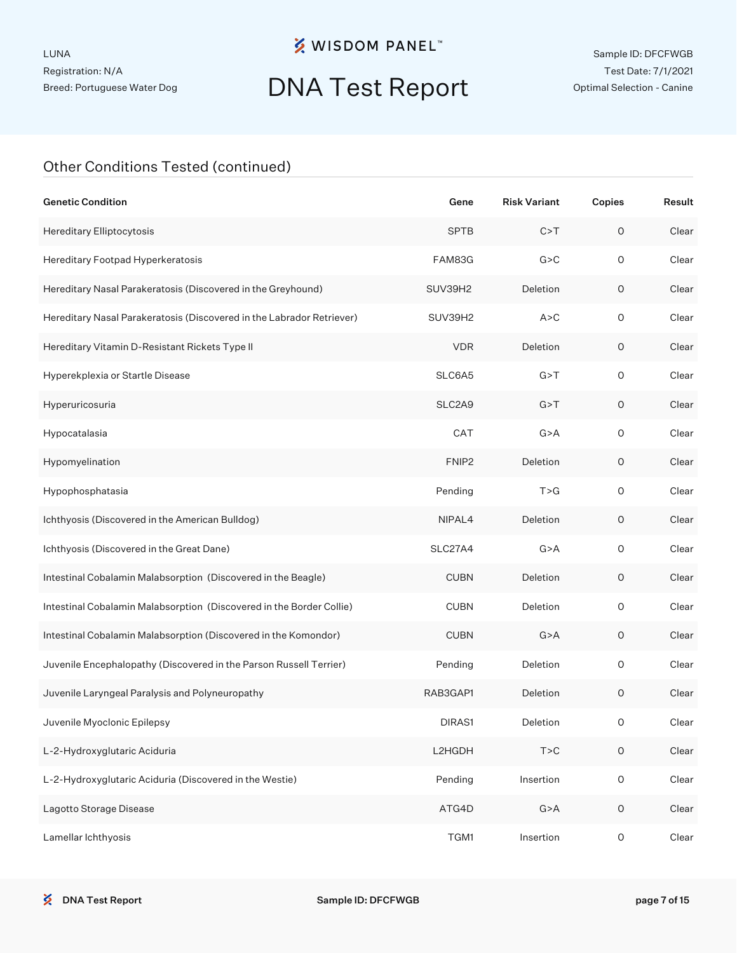### **※ WISDOM PANEL**™

## DNA Test Report

| <b>Genetic Condition</b>                                              | Gene              | <b>Risk Variant</b> | Copies              | Result |
|-----------------------------------------------------------------------|-------------------|---------------------|---------------------|--------|
| Hereditary Elliptocytosis                                             | <b>SPTB</b>       | C > T               | 0                   | Clear  |
| Hereditary Footpad Hyperkeratosis                                     | FAM83G            | G > C               | $\circ$             | Clear  |
| Hereditary Nasal Parakeratosis (Discovered in the Greyhound)          | SUV39H2           | Deletion            | O                   | Clear  |
| Hereditary Nasal Parakeratosis (Discovered in the Labrador Retriever) | SUV39H2           | A > C               | $\circ$             | Clear  |
| Hereditary Vitamin D-Resistant Rickets Type II                        | <b>VDR</b>        | Deletion            | 0                   | Clear  |
| Hyperekplexia or Startle Disease                                      | SLC6A5            | G > T               | $\circ$             | Clear  |
| Hyperuricosuria                                                       | SLC2A9            | G > T               | 0                   | Clear  |
| Hypocatalasia                                                         | CAT               | G > A               | $\circ$             | Clear  |
| Hypomyelination                                                       | FNIP <sub>2</sub> | Deletion            | 0                   | Clear  |
| Hypophosphatasia                                                      | Pending           | T > G               | $\circ$             | Clear  |
| Ichthyosis (Discovered in the American Bulldog)                       | NIPAL4            | Deletion            | 0                   | Clear  |
| Ichthyosis (Discovered in the Great Dane)                             | SLC27A4           | G > A               | $\circ$             | Clear  |
| Intestinal Cobalamin Malabsorption (Discovered in the Beagle)         | <b>CUBN</b>       | Deletion            | 0                   | Clear  |
| Intestinal Cobalamin Malabsorption (Discovered in the Border Collie)  | <b>CUBN</b>       | Deletion            | $\circ$             | Clear  |
| Intestinal Cobalamin Malabsorption (Discovered in the Komondor)       | <b>CUBN</b>       | G > A               | 0                   | Clear  |
| Juvenile Encephalopathy (Discovered in the Parson Russell Terrier)    | Pending           | Deletion            | $\circ$             | Clear  |
| Juvenile Laryngeal Paralysis and Polyneuropathy                       | RAB3GAP1          | Deletion            | 0                   | Clear  |
| Juvenile Myoclonic Epilepsy                                           | DIRAS1            | Deletion            | 0                   | Clear  |
| L-2-Hydroxyglutaric Aciduria                                          | L2HGDH            | T > C               | $\mathsf O$         | Clear  |
| L-2-Hydroxyglutaric Aciduria (Discovered in the Westie)               | Pending           | Insertion           | $\mathsf{O}\xspace$ | Clear  |
| Lagotto Storage Disease                                               | ATG4D             | G > A               | $\mathsf O$         | Clear  |
| Lamellar lchthyosis                                                   | TGM1              | Insertion           | $\mathsf{O}\xspace$ | Clear  |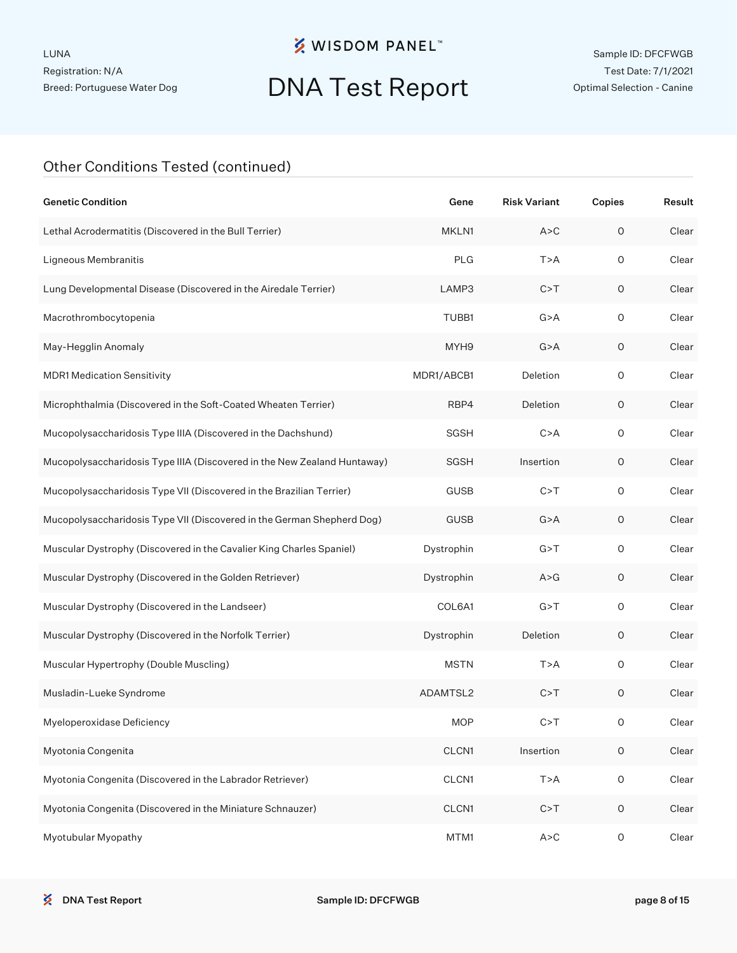## DNA Test Report

| <b>Genetic Condition</b>                                                 | Gene        | <b>Risk Variant</b> | Copies              | Result |
|--------------------------------------------------------------------------|-------------|---------------------|---------------------|--------|
| Lethal Acrodermatitis (Discovered in the Bull Terrier)                   | MKLN1       | A > C               | $\circ$             | Clear  |
| Ligneous Membranitis                                                     | <b>PLG</b>  | T > A               | 0                   | Clear  |
| Lung Developmental Disease (Discovered in the Airedale Terrier)          | LAMP3       | C > T               | 0                   | Clear  |
| Macrothrombocytopenia                                                    | TUBB1       | G > A               | $\circ$             | Clear  |
| May-Hegglin Anomaly                                                      | MYH9        | G > A               | O                   | Clear  |
| <b>MDR1 Medication Sensitivity</b>                                       | MDR1/ABCB1  | Deletion            | $\circ$             | Clear  |
| Microphthalmia (Discovered in the Soft-Coated Wheaten Terrier)           | RBP4        | Deletion            | O                   | Clear  |
| Mucopolysaccharidosis Type IIIA (Discovered in the Dachshund)            | SGSH        | C > A               | $\circ$             | Clear  |
| Mucopolysaccharidosis Type IIIA (Discovered in the New Zealand Huntaway) | SGSH        | Insertion           | $\circ$             | Clear  |
| Mucopolysaccharidosis Type VII (Discovered in the Brazilian Terrier)     | <b>GUSB</b> | C > T               | $\circ$             | Clear  |
| Mucopolysaccharidosis Type VII (Discovered in the German Shepherd Dog)   | <b>GUSB</b> | G > A               | $\circ$             | Clear  |
| Muscular Dystrophy (Discovered in the Cavalier King Charles Spaniel)     | Dystrophin  | G > T               | $\circ$             | Clear  |
| Muscular Dystrophy (Discovered in the Golden Retriever)                  | Dystrophin  | A > G               | $\circ$             | Clear  |
| Muscular Dystrophy (Discovered in the Landseer)                          | COL6A1      | G > T               | $\circ$             | Clear  |
| Muscular Dystrophy (Discovered in the Norfolk Terrier)                   | Dystrophin  | Deletion            | 0                   | Clear  |
| Muscular Hypertrophy (Double Muscling)                                   | <b>MSTN</b> | T > A               | $\circ$             | Clear  |
| Musladin-Lueke Syndrome                                                  | ADAMTSL2    | C > T               | 0                   | Clear  |
| Myeloperoxidase Deficiency                                               | <b>MOP</b>  | C > T               | O                   | Clear  |
| Myotonia Congenita                                                       | CLCN1       | Insertion           | $\mathsf O$         | Clear  |
| Myotonia Congenita (Discovered in the Labrador Retriever)                | CLCN1       | T>A                 | $\mathsf{O}\xspace$ | Clear  |
| Myotonia Congenita (Discovered in the Miniature Schnauzer)               | CLCN1       | C > T               | $\mathsf O$         | Clear  |
| Myotubular Myopathy                                                      | MTM1        | A > C               | $\mathsf O$         | Clear  |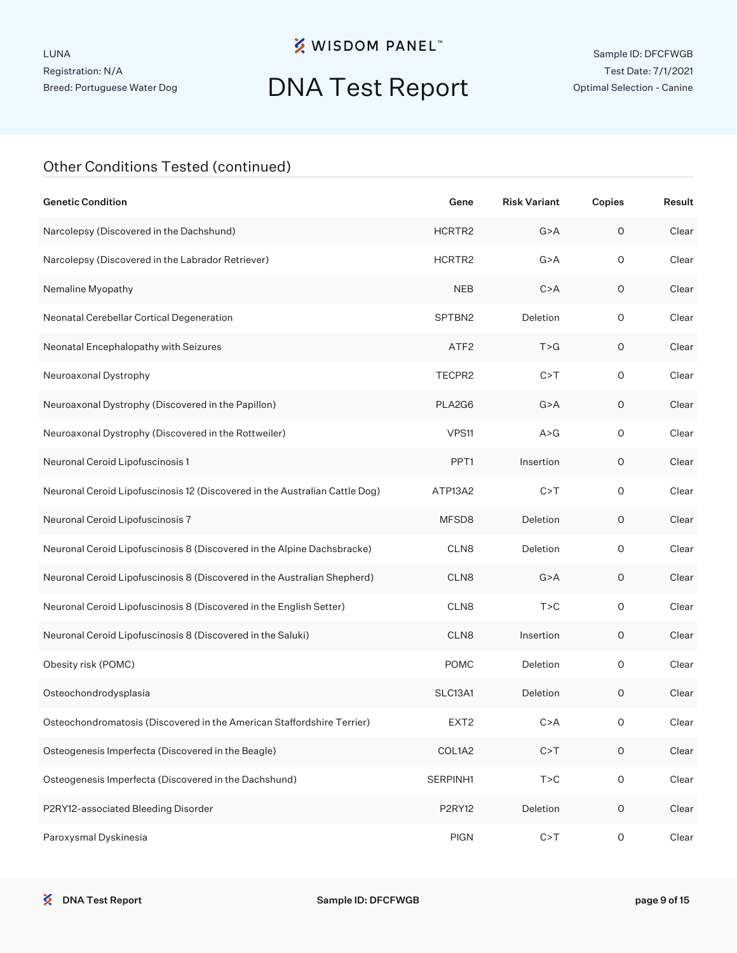### **※ WISDOM PANEL**™

## DNA Test Report

| <b>Genetic Condition</b>                                                    | Gene             | <b>Risk Variant</b> | Copies              | Result |
|-----------------------------------------------------------------------------|------------------|---------------------|---------------------|--------|
| Narcolepsy (Discovered in the Dachshund)                                    | HCRTR2           | G > A               | $\circ$             | Clear  |
| Narcolepsy (Discovered in the Labrador Retriever)                           | HCRTR2           | G > A               | 0                   | Clear  |
| Nemaline Myopathy                                                           | <b>NEB</b>       | C > A               | $\circ$             | Clear  |
| Neonatal Cerebellar Cortical Degeneration                                   | SPTBN2           | Deletion            | $\circ$             | Clear  |
| Neonatal Encephalopathy with Seizures                                       | ATF <sub>2</sub> | T > G               | $\circ$             | Clear  |
| Neuroaxonal Dystrophy                                                       | TECPR2           | C > T               | $\circ$             | Clear  |
| Neuroaxonal Dystrophy (Discovered in the Papillon)                          | PLA2G6           | G > A               | $\circ$             | Clear  |
| Neuroaxonal Dystrophy (Discovered in the Rottweiler)                        | VPS11            | A > G               | $\circ$             | Clear  |
| Neuronal Ceroid Lipofuscinosis 1                                            | PPT <sub>1</sub> | Insertion           | $\circ$             | Clear  |
| Neuronal Ceroid Lipofuscinosis 12 (Discovered in the Australian Cattle Dog) | ATP13A2          | C > T               | $\circ$             | Clear  |
| Neuronal Ceroid Lipofuscinosis 7                                            | MFSD8            | Deletion            | O                   | Clear  |
| Neuronal Ceroid Lipofuscinosis 8 (Discovered in the Alpine Dachsbracke)     | CLN8             | Deletion            | $\circ$             | Clear  |
| Neuronal Ceroid Lipofuscinosis 8 (Discovered in the Australian Shepherd)    | CLN8             | G > A               | O                   | Clear  |
| Neuronal Ceroid Lipofuscinosis 8 (Discovered in the English Setter)         | CLN8             | T > C               | $\circ$             | Clear  |
| Neuronal Ceroid Lipofuscinosis 8 (Discovered in the Saluki)                 | CLN8             | Insertion           | O                   | Clear  |
| Obesity risk (POMC)                                                         | <b>POMC</b>      | Deletion            | $\circ$             | Clear  |
| Osteochondrodysplasia                                                       | SLC13A1          | Deletion            | O                   | Clear  |
| Osteochondromatosis (Discovered in the American Staffordshire Terrier)      | EXT <sub>2</sub> | C > A               | 0                   | Clear  |
| Osteogenesis Imperfecta (Discovered in the Beagle)                          | COL1A2           | C > T               | $\mathsf O$         | Clear  |
| Osteogenesis Imperfecta (Discovered in the Dachshund)                       | SERPINH1         | T > C               | $\mathsf{O}\xspace$ | Clear  |
| P2RY12-associated Bleeding Disorder                                         | <b>P2RY12</b>    | Deletion            | $\mathsf O$         | Clear  |
| Paroxysmal Dyskinesia                                                       | PIGN             | C > T               | $\mathsf O$         | Clear  |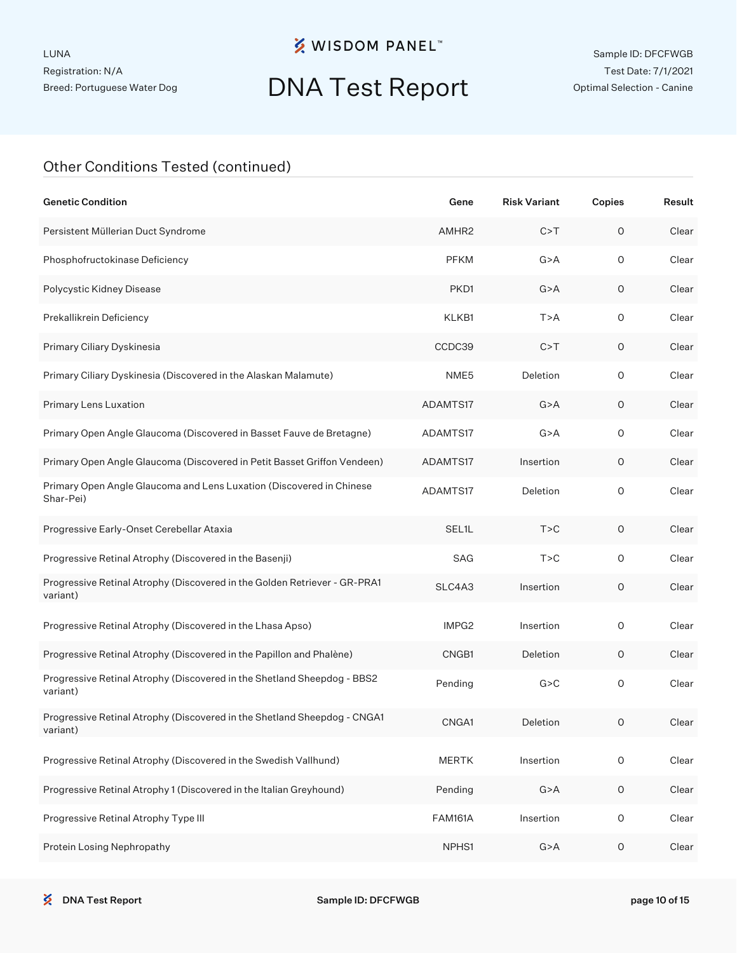## DNA Test Report

| <b>Genetic Condition</b>                                                              | Gene               | <b>Risk Variant</b> | Copies              | Result |
|---------------------------------------------------------------------------------------|--------------------|---------------------|---------------------|--------|
| Persistent Müllerian Duct Syndrome                                                    | AMHR <sub>2</sub>  | C > T               | $\circ$             | Clear  |
| Phosphofructokinase Deficiency                                                        | <b>PFKM</b>        | G > A               | 0                   | Clear  |
| Polycystic Kidney Disease                                                             | PKD1               | G > A               | O                   | Clear  |
| Prekallikrein Deficiency                                                              | KLKB1              | T > A               | $\circ$             | Clear  |
| Primary Ciliary Dyskinesia                                                            | CCDC39             | C > T               | 0                   | Clear  |
| Primary Ciliary Dyskinesia (Discovered in the Alaskan Malamute)                       | NME5               | Deletion            | $\circ$             | Clear  |
| Primary Lens Luxation                                                                 | ADAMTS17           | G > A               | O                   | Clear  |
| Primary Open Angle Glaucoma (Discovered in Basset Fauve de Bretagne)                  | ADAMTS17           | G > A               | $\circ$             | Clear  |
| Primary Open Angle Glaucoma (Discovered in Petit Basset Griffon Vendeen)              | ADAMTS17           | Insertion           | O                   | Clear  |
| Primary Open Angle Glaucoma and Lens Luxation (Discovered in Chinese<br>Shar-Pei)     | ADAMTS17           | Deletion            | $\circ$             | Clear  |
| Progressive Early-Onset Cerebellar Ataxia                                             | SEL <sub>1</sub> L | T > C               | 0                   | Clear  |
| Progressive Retinal Atrophy (Discovered in the Basenji)                               | SAG                | T > C               | $\mathsf O$         | Clear  |
| Progressive Retinal Atrophy (Discovered in the Golden Retriever - GR-PRA1<br>variant) | SLC4A3             | Insertion           | O                   | Clear  |
| Progressive Retinal Atrophy (Discovered in the Lhasa Apso)                            | IMPG <sub>2</sub>  | Insertion           | 0                   | Clear  |
| Progressive Retinal Atrophy (Discovered in the Papillon and Phalène)                  | CNGB1              | Deletion            | O                   | Clear  |
| Progressive Retinal Atrophy (Discovered in the Shetland Sheepdog - BBS2<br>variant)   | Pending            | G > C               | $\circ$             | Clear  |
| Progressive Retinal Atrophy (Discovered in the Shetland Sheepdog - CNGA1<br>variant)  | CNGA1              | Deletion            | O                   | Clear  |
| Progressive Retinal Atrophy (Discovered in the Swedish Vallhund)                      | <b>MERTK</b>       | Insertion           | $\mathsf{O}\xspace$ | Clear  |
| Progressive Retinal Atrophy 1 (Discovered in the Italian Greyhound)                   | Pending            | G > A               | $\mathsf O$         | Clear  |
| Progressive Retinal Atrophy Type III                                                  | <b>FAM161A</b>     | Insertion           | $\mathsf O$         | Clear  |
| Protein Losing Nephropathy                                                            | NPHS1              | G > A               | $\mathsf O$         | Clear  |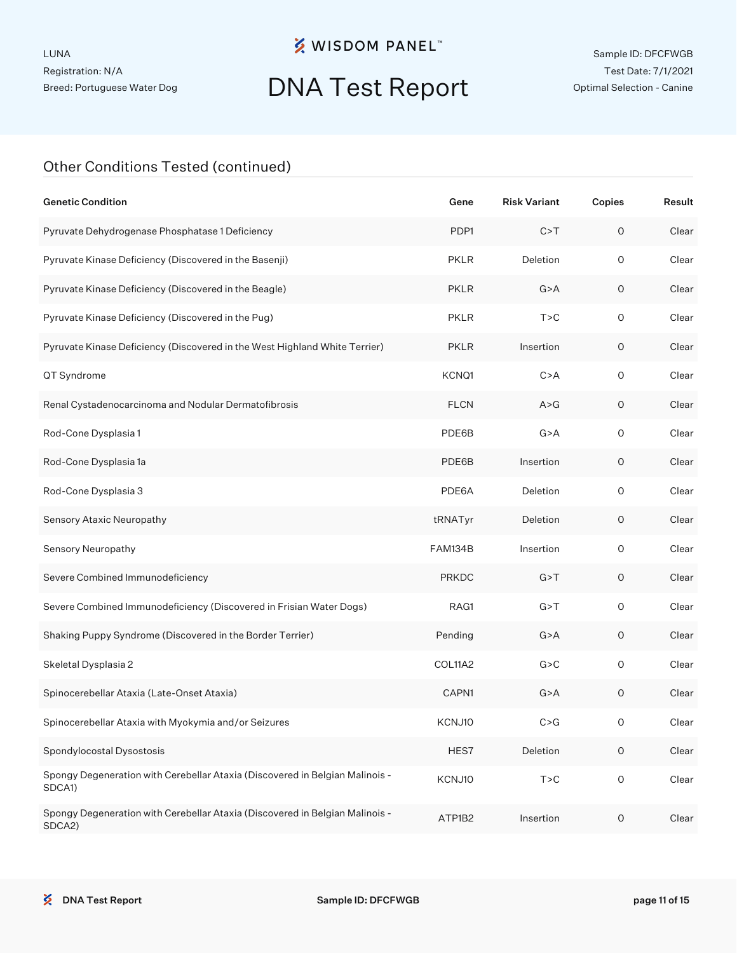### **※ WISDOM PANEL**™

## DNA Test Report

| <b>Genetic Condition</b>                                                               | Gene           | <b>Risk Variant</b> | Copies      | Result |
|----------------------------------------------------------------------------------------|----------------|---------------------|-------------|--------|
| Pyruvate Dehydrogenase Phosphatase 1 Deficiency                                        | PDP1           | C > T               | $\circ$     | Clear  |
| Pyruvate Kinase Deficiency (Discovered in the Basenji)                                 | <b>PKLR</b>    | Deletion            | $\circ$     | Clear  |
| Pyruvate Kinase Deficiency (Discovered in the Beagle)                                  | <b>PKLR</b>    | G > A               | O           | Clear  |
| Pyruvate Kinase Deficiency (Discovered in the Pug)                                     | <b>PKLR</b>    | T > C               | $\circ$     | Clear  |
| Pyruvate Kinase Deficiency (Discovered in the West Highland White Terrier)             | <b>PKLR</b>    | Insertion           | O           | Clear  |
| QT Syndrome                                                                            | KCNQ1          | C > A               | $\circ$     | Clear  |
| Renal Cystadenocarcinoma and Nodular Dermatofibrosis                                   | <b>FLCN</b>    | A > G               | O           | Clear  |
| Rod-Cone Dysplasia 1                                                                   | PDE6B          | G > A               | $\circ$     | Clear  |
| Rod-Cone Dysplasia 1a                                                                  | PDE6B          | Insertion           | $\mathsf O$ | Clear  |
| Rod-Cone Dysplasia 3                                                                   | PDE6A          | Deletion            | $\circ$     | Clear  |
| Sensory Ataxic Neuropathy                                                              | tRNATyr        | Deletion            | O           | Clear  |
| Sensory Neuropathy                                                                     | <b>FAM134B</b> | Insertion           | $\circ$     | Clear  |
| Severe Combined Immunodeficiency                                                       | <b>PRKDC</b>   | G > T               | O           | Clear  |
| Severe Combined Immunodeficiency (Discovered in Frisian Water Dogs)                    | RAG1           | G > T               | $\circ$     | Clear  |
| Shaking Puppy Syndrome (Discovered in the Border Terrier)                              | Pending        | G > A               | O           | Clear  |
| Skeletal Dysplasia 2                                                                   | COL11A2        | G > C               | $\circ$     | Clear  |
| Spinocerebellar Ataxia (Late-Onset Ataxia)                                             | CAPN1          | G > A               | O           | Clear  |
| Spinocerebellar Ataxia with Myokymia and/or Seizures                                   | KCNJ10         | C > G               | 0           | Clear  |
| Spondylocostal Dysostosis                                                              | HES7           | Deletion            | $\mathsf O$ | Clear  |
| Spongy Degeneration with Cerebellar Ataxia (Discovered in Belgian Malinois -<br>SDCA1) | KCNJ10         | T > C               | $\mathsf O$ | Clear  |
| Spongy Degeneration with Cerebellar Ataxia (Discovered in Belgian Malinois -<br>SDCA2) | ATP1B2         | Insertion           | $\mathsf O$ | Clear  |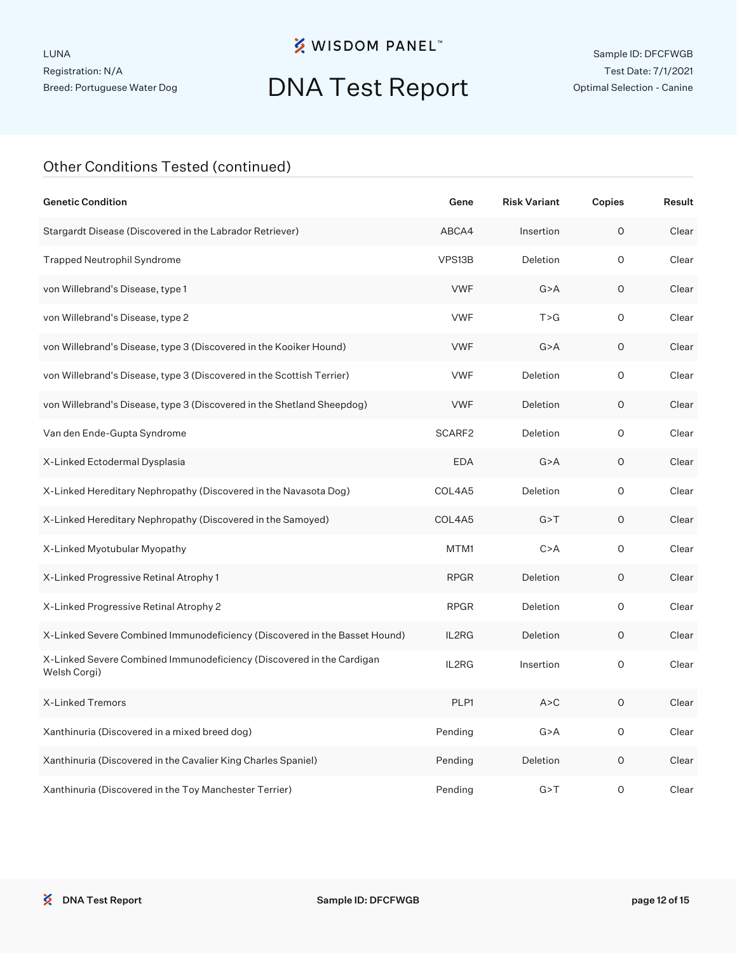## DNA Test Report

| <b>Genetic Condition</b>                                                              | Gene        | <b>Risk Variant</b> | Copies | Result |
|---------------------------------------------------------------------------------------|-------------|---------------------|--------|--------|
| Stargardt Disease (Discovered in the Labrador Retriever)                              | ABCA4       | Insertion           | O      | Clear  |
| <b>Trapped Neutrophil Syndrome</b>                                                    | VPS13B      | Deletion            | O      | Clear  |
| von Willebrand's Disease, type 1                                                      | <b>VWF</b>  | G > A               | 0      | Clear  |
| von Willebrand's Disease, type 2                                                      | <b>VWF</b>  | T > G               | O      | Clear  |
| von Willebrand's Disease, type 3 (Discovered in the Kooiker Hound)                    | <b>VWF</b>  | G > A               | O      | Clear  |
| von Willebrand's Disease, type 3 (Discovered in the Scottish Terrier)                 | <b>VWF</b>  | Deletion            | O      | Clear  |
| von Willebrand's Disease, type 3 (Discovered in the Shetland Sheepdog)                | <b>VWF</b>  | Deletion            | O      | Clear  |
| Van den Ende-Gupta Syndrome                                                           | SCARF2      | Deletion            | O      | Clear  |
| X-Linked Ectodermal Dysplasia                                                         | <b>EDA</b>  | G > A               | 0      | Clear  |
| X-Linked Hereditary Nephropathy (Discovered in the Navasota Dog)                      | COL4A5      | Deletion            | O      | Clear  |
| X-Linked Hereditary Nephropathy (Discovered in the Samoyed)                           | COL4A5      | G > T               | 0      | Clear  |
| X-Linked Myotubular Myopathy                                                          | MTM1        | C > A               | O      | Clear  |
| X-Linked Progressive Retinal Atrophy 1                                                | <b>RPGR</b> | Deletion            | 0      | Clear  |
| X-Linked Progressive Retinal Atrophy 2                                                | <b>RPGR</b> | Deletion            | 0      | Clear  |
| X-Linked Severe Combined Immunodeficiency (Discovered in the Basset Hound)            | IL2RG       | Deletion            | O      | Clear  |
| X-Linked Severe Combined Immunodeficiency (Discovered in the Cardigan<br>Welsh Corgi) | IL2RG       | Insertion           | 0      | Clear  |
| X-Linked Tremors                                                                      | PLP1        | A > C               | O      | Clear  |
| Xanthinuria (Discovered in a mixed breed dog)                                         | Pending     | G > A               | 0      | Clear  |
| Xanthinuria (Discovered in the Cavalier King Charles Spaniel)                         | Pending     | Deletion            | 0      | Clear  |
| Xanthinuria (Discovered in the Toy Manchester Terrier)                                | Pending     | G > T               | O      | Clear  |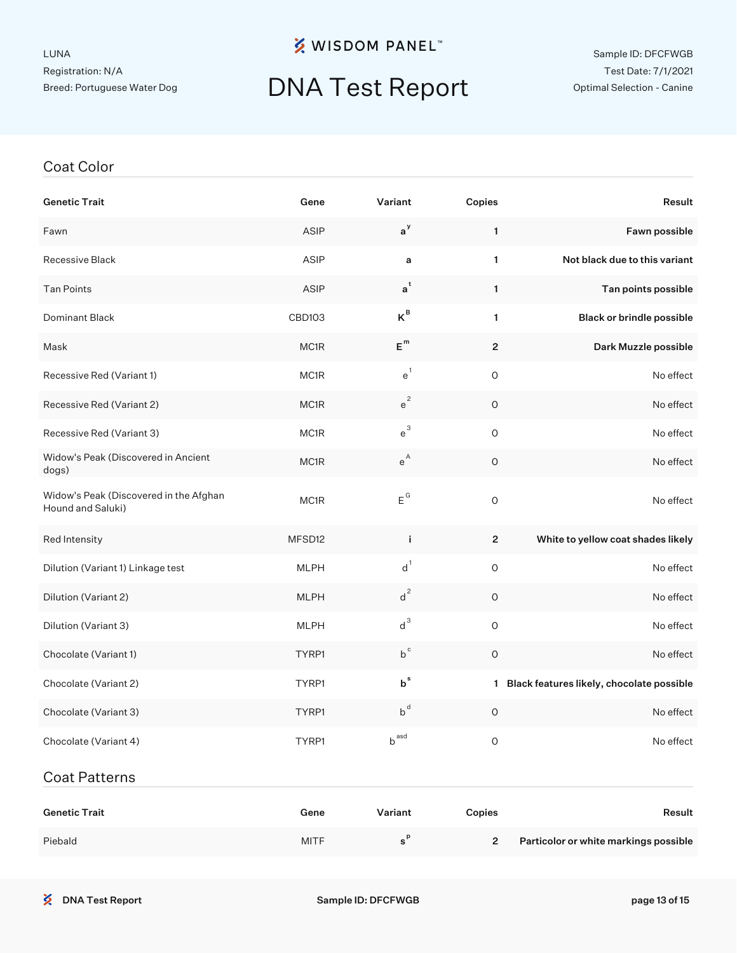### **※ WISDOM PANEL**™

# DNA Test Report

#### Sample ID: DFCFWGB Test Date: 7/1/2021 Optimal Selection - Canine

#### Coat Color

| <b>Genetic Trait</b>                                        | Gene        | Variant                     | Copies              | Result                                      |
|-------------------------------------------------------------|-------------|-----------------------------|---------------------|---------------------------------------------|
| Fawn                                                        | ASIP        | $a^y$                       | 1                   | Fawn possible                               |
| Recessive Black                                             | ASIP        | a                           | $\mathbf{1}$        | Not black due to this variant               |
| <b>Tan Points</b>                                           | <b>ASIP</b> | $a^t$                       | 1                   | Tan points possible                         |
| Dominant Black                                              | CBD103      | $K^B$                       | $\mathbf{1}$        | Black or brindle possible                   |
| Mask                                                        | MC1R        | $\mathsf{E}^{\,\mathsf{m}}$ | $\overline{2}$      | Dark Muzzle possible                        |
| Recessive Red (Variant 1)                                   | MC1R        | e <sup>1</sup>              | $\mathsf O$         | No effect                                   |
| Recessive Red (Variant 2)                                   | MC1R        | $e^2$                       | $\circ$             | No effect                                   |
| Recessive Red (Variant 3)                                   | MC1R        | $e^{3}$                     | $\mathsf{O}\xspace$ | No effect                                   |
| Widow's Peak (Discovered in Ancient<br>dogs)                | MC1R        | $e^{A}$                     | $\circ$             | No effect                                   |
| Widow's Peak (Discovered in the Afghan<br>Hound and Saluki) | MC1R        | $\mathsf{E}^{\mathsf{G}}$   | $\circ$             | No effect                                   |
| Red Intensity                                               | MFSD12      | j.                          | $\overline{2}$      | White to yellow coat shades likely          |
| Dilution (Variant 1) Linkage test                           | <b>MLPH</b> | $d^1$                       | $\mathsf O$         | No effect                                   |
| Dilution (Variant 2)                                        | <b>MLPH</b> | $d^2$                       | $\circ$             | No effect                                   |
| Dilution (Variant 3)                                        | <b>MLPH</b> | $d^3$                       | $\mathsf{O}\xspace$ | No effect                                   |
| Chocolate (Variant 1)                                       | TYRP1       | $b^{\text{c}}$              | $\circ$             | No effect                                   |
| Chocolate (Variant 2)                                       | TYRP1       | $b^{\text{s}}$              |                     | 1 Black features likely, chocolate possible |
| Chocolate (Variant 3)                                       | TYRP1       | $b^d$                       | O                   | No effect                                   |
| Chocolate (Variant 4)                                       | TYRP1       | $b^{ \, \text{asd}}$        | $\mathsf O$         | No effect                                   |
| <b>Coat Patterns</b>                                        |             |                             |                     |                                             |

| <b>Genetic Trait</b> | Gene        | Variant | Copies        | Result                                |
|----------------------|-------------|---------|---------------|---------------------------------------|
| Piebald              | <b>MITF</b> |         | $\mathcal{P}$ | Particolor or white markings possible |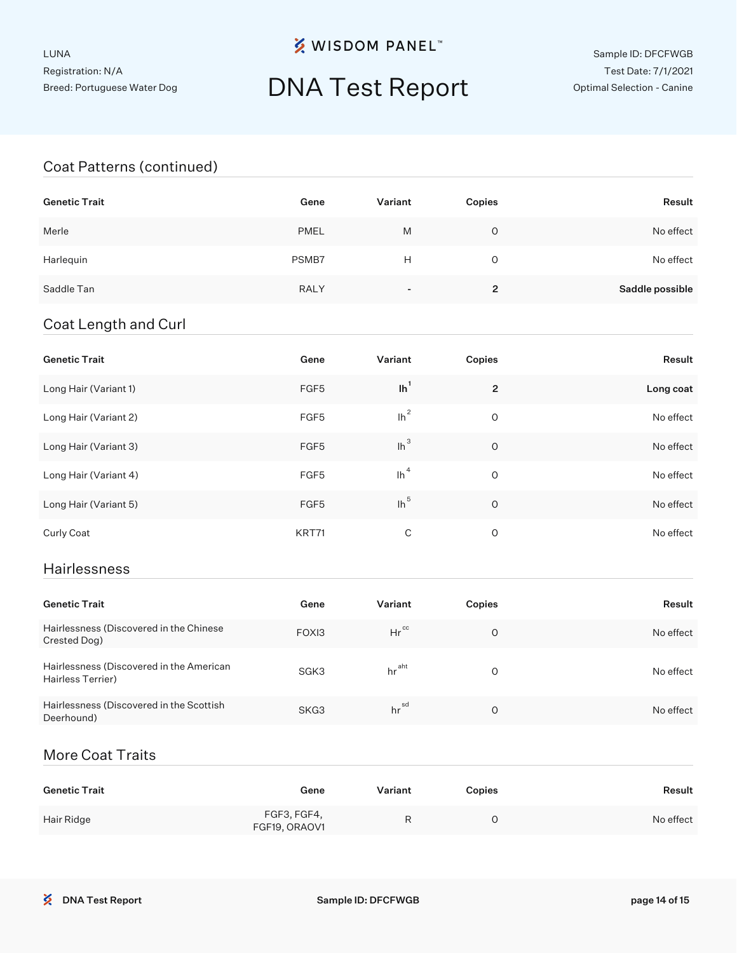**※ WISDOM PANEL**™

### DNA Test Report

### Coat Patterns (continued)

| <b>Genetic Trait</b> | Gene        | Variant | Copies         | Result          |
|----------------------|-------------|---------|----------------|-----------------|
| Merle                | <b>PMEL</b> | M       | O              | No effect       |
| Harlequin            | PSMB7       | H       | O              | No effect       |
| Saddle Tan           | <b>RALY</b> | ۰.      | $\overline{2}$ | Saddle possible |

#### Coat Length and Curl

| <b>Genetic Trait</b>  | Gene  | Variant | Copies         | Result    |
|-----------------------|-------|---------|----------------|-----------|
| Long Hair (Variant 1) | FGF5  | $lh^1$  | $\overline{2}$ | Long coat |
| Long Hair (Variant 2) | FGF5  | $lh^2$  | O              | No effect |
| Long Hair (Variant 3) | FGF5  | $lh^3$  | O              | No effect |
| Long Hair (Variant 4) | FGF5  | $\ln^4$ | O              | No effect |
| Long Hair (Variant 5) | FGF5  | $lh^5$  | $\circ$        | No effect |
| Curly Coat            | KRT71 | C       | O              | No effect |

#### Hairlessness

| <b>Genetic Trait</b>                                          | Gene  | Variant           | Copies   | Result    |
|---------------------------------------------------------------|-------|-------------------|----------|-----------|
| Hairlessness (Discovered in the Chinese<br>Crested Dog)       | FOXI3 | $Hr^{cc}$         | O        | No effect |
| Hairlessness (Discovered in the American<br>Hairless Terrier) | SGK3  | hr <sup>aht</sup> | $\Omega$ | No effect |
| Hairlessness (Discovered in the Scottish<br>Deerhound)        | SKG3  | hrsd              | O        | No effect |

### More Coat Traits

| Genetic Trait | Gene                         | Variant | Copies | Result    |
|---------------|------------------------------|---------|--------|-----------|
| Hair Ridge    | FGF3, FGF4,<br>FGF19, ORAOV1 |         |        | No effect |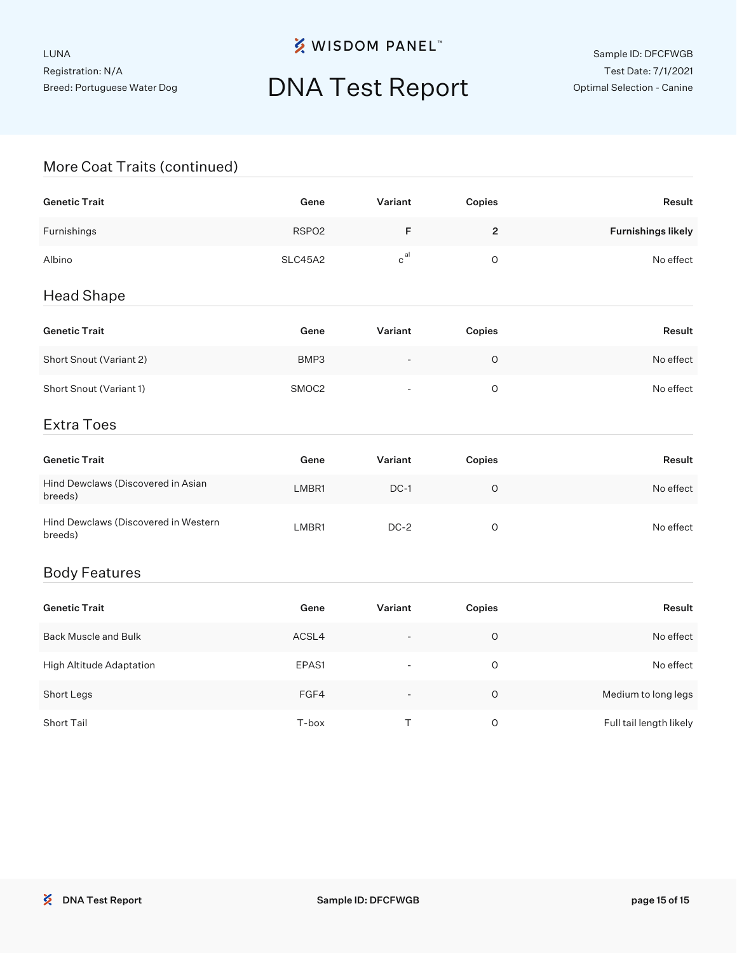# DNA Test Report

### More Coat Traits (continued)

| <b>Genetic Trait</b>                            | Gene              | Variant                  | Copies      | Result                    |
|-------------------------------------------------|-------------------|--------------------------|-------------|---------------------------|
| Furnishings                                     | RSPO <sub>2</sub> | F                        | $\mathbf 2$ | <b>Furnishings likely</b> |
| Albino                                          | SLC45A2           | $\mathtt{c}^\mathtt{al}$ | $\circ$     | No effect                 |
| <b>Head Shape</b>                               |                   |                          |             |                           |
| <b>Genetic Trait</b>                            | Gene              | Variant                  | Copies      | Result                    |
| Short Snout (Variant 2)                         | BMP3              |                          | $\circ$     | No effect                 |
| Short Snout (Variant 1)                         | SMOC <sub>2</sub> | $\overline{\phantom{a}}$ | $\mathsf O$ | No effect                 |
| <b>Extra Toes</b>                               |                   |                          |             |                           |
| <b>Genetic Trait</b>                            | Gene              | Variant                  | Copies      | Result                    |
| Hind Dewclaws (Discovered in Asian<br>breeds)   | LMBR1             | $DC-1$                   | $\circ$     | No effect                 |
| Hind Dewclaws (Discovered in Western<br>breeds) | LMBR1             | $DC-2$                   | $\circ$     | No effect                 |
| <b>Body Features</b>                            |                   |                          |             |                           |
| <b>Genetic Trait</b>                            | Gene              | Variant                  | Copies      | Result                    |
| <b>Back Muscle and Bulk</b>                     | ACSL4             |                          | $\mathsf O$ | No effect                 |

| High Altitude Adaptation | EPAS1 | $\overline{\phantom{a}}$ | O | No effect               |
|--------------------------|-------|--------------------------|---|-------------------------|
| Short Legs               | FGF4  | $\overline{\phantom{0}}$ | Ο | Medium to long legs     |
| Short Tail               | T-box |                          | Ο | Full tail length likely |